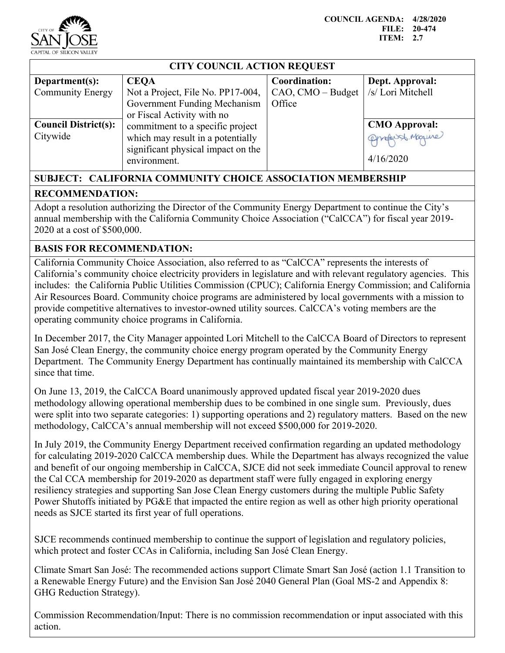

## **CITY COUNCIL ACTION REQUEST**

| Department $(s)$ :          | <b>CEOA</b>                        | Coordination:     | Dept. Approval:      |
|-----------------------------|------------------------------------|-------------------|----------------------|
| <b>Community Energy</b>     | Not a Project, File No. PP17-004,  | CAO, CMO – Budget | /s/ Lori Mitchell    |
|                             | Government Funding Mechanism       | Office            |                      |
|                             | or Fiscal Activity with no         |                   |                      |
| <b>Council District(s):</b> | commitment to a specific project   |                   | <b>CMO</b> Approval: |
| Citywide                    | which may result in a potentially  |                   | Opropuss Maguine     |
|                             | significant physical impact on the |                   |                      |
|                             | environment.                       |                   | 4/16/2020            |
|                             |                                    |                   |                      |

## **SUBJECT: CALIFORNIA COMMUNITY CHOICE ASSOCIATION MEMBERSHIP RECOMMENDATION:**

Adopt a resolution authorizing the Director of the Community Energy Department to continue the City's annual membership with the California Community Choice Association ("CalCCA") for fiscal year 2019- 2020 at a cost of \$500,000.

## **BASIS FOR RECOMMENDATION:**

California Community Choice Association, also referred to as "CalCCA" represents the interests of California's community choice electricity providers in legislature and with relevant regulatory agencies. This includes: the California Public Utilities Commission (CPUC); California Energy Commission; and California Air Resources Board. Community choice programs are administered by local governments with a mission to provide competitive alternatives to investor-owned utility sources. CalCCA's voting members are the operating community choice programs in California.

In December 2017, the City Manager appointed Lori Mitchell to the CalCCA Board of Directors to represent San José Clean Energy, the community choice energy program operated by the Community Energy Department. The Community Energy Department has continually maintained its membership with CalCCA since that time.

On June 13, 2019, the CalCCA Board unanimously approved updated fiscal year 2019-2020 dues methodology allowing operational membership dues to be combined in one single sum. Previously, dues were split into two separate categories: 1) supporting operations and 2) regulatory matters. Based on the new methodology, CalCCA's annual membership will not exceed \$500,000 for 2019-2020.

In July 2019, the Community Energy Department received confirmation regarding an updated methodology for calculating 2019-2020 CalCCA membership dues. While the Department has always recognized the value and benefit of our ongoing membership in CalCCA, SJCE did not seek immediate Council approval to renew the Cal CCA membership for 2019-2020 as department staff were fully engaged in exploring energy resiliency strategies and supporting San Jose Clean Energy customers during the multiple Public Safety Power Shutoffs initiated by PG&E that impacted the entire region as well as other high priority operational needs as SJCE started its first year of full operations.

SJCE recommends continued membership to continue the support of legislation and regulatory policies, which protect and foster CCAs in California, including San José Clean Energy.

Climate Smart San José: The recommended actions support Climate Smart San José (action 1.1 Transition to a Renewable Energy Future) and the Envision San José 2040 General Plan (Goal MS-2 and Appendix 8: GHG Reduction Strategy).

Commission Recommendation/Input: There is no commission recommendation or input associated with this action.